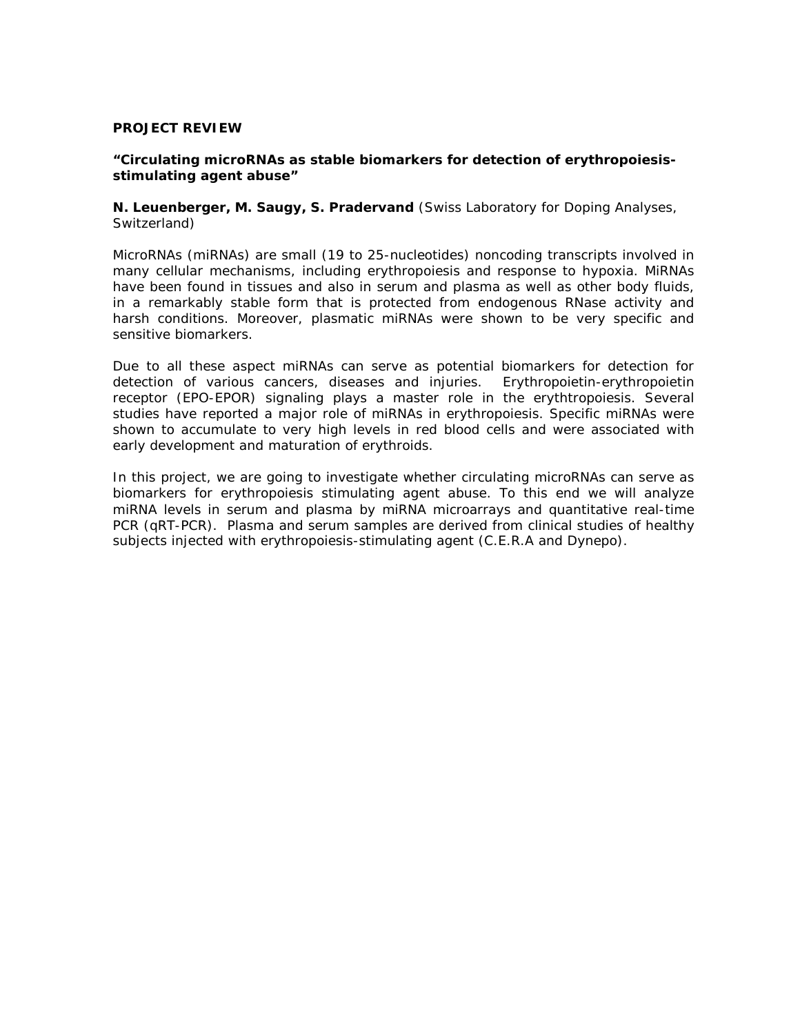## **PROJECT REVIEW**

## **"Circulating microRNAs as stable biomarkers for detection of erythropoiesisstimulating agent abuse"**

**N. Leuenberger, M. Saugy, S. Pradervand** (Swiss Laboratory for Doping Analyses, Switzerland)

MicroRNAs (miRNAs) are small (19 to 25-nucleotides) noncoding transcripts involved in many cellular mechanisms, including erythropoiesis and response to hypoxia. MiRNAs have been found in tissues and also in serum and plasma as well as other body fluids, in a remarkably stable form that is protected from endogenous RNase activity and harsh conditions. Moreover, plasmatic miRNAs were shown to be very specific and sensitive biomarkers.

Due to all these aspect miRNAs can serve as potential biomarkers for detection for detection of various cancers, diseases and injuries. Erythropoietin-erythropoietin receptor (EPO-EPOR) signaling plays a master role in the erythtropoiesis. Several studies have reported a major role of miRNAs in erythropoiesis. Specific miRNAs were shown to accumulate to very high levels in red blood cells and were associated with early development and maturation of erythroids.

In this project, we are going to investigate whether circulating microRNAs can serve as biomarkers for erythropoiesis stimulating agent abuse. To this end we will analyze miRNA levels in serum and plasma by miRNA microarrays and quantitative real-time PCR (qRT-PCR). Plasma and serum samples are derived from clinical studies of healthy subjects injected with erythropoiesis-stimulating agent (C.E.R.A and Dynepo).